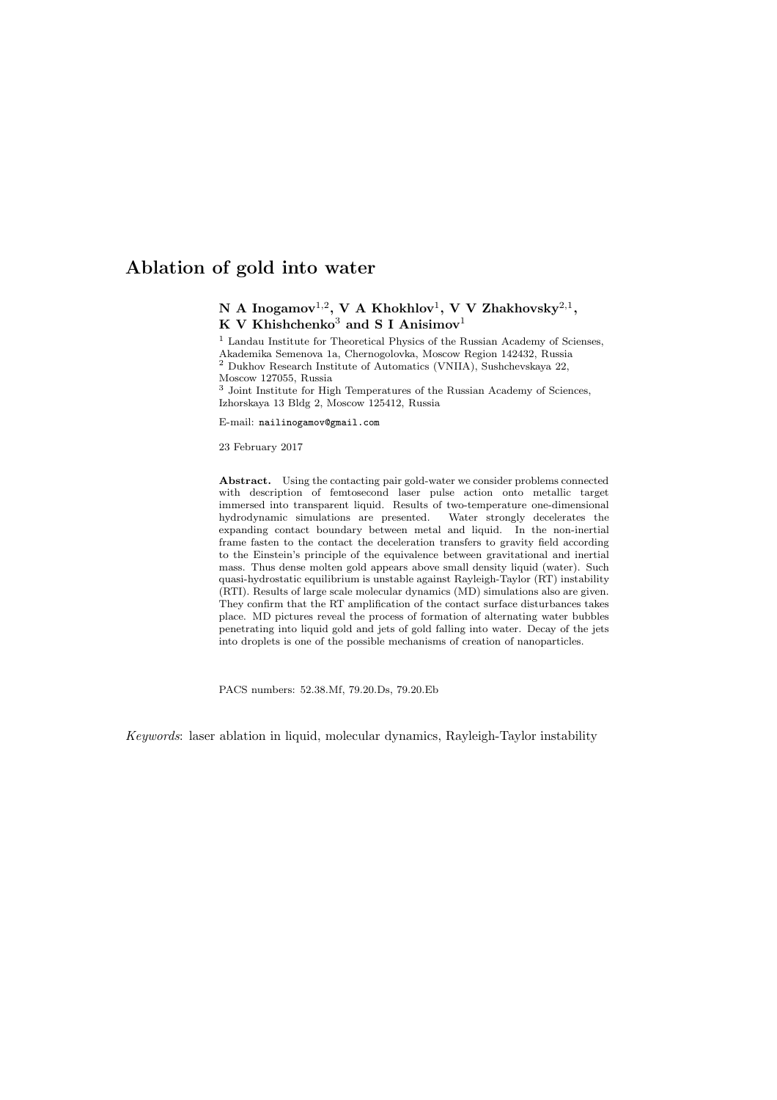# N A Inogamov $^{1,2}$ , V A Khokhlov $^1$ , V V Zhakhovsky $^{2,1}$ , K V Khishchenko<sup>3</sup> and S I Anisimov<sup>1</sup>

<sup>1</sup> Landau Institute for Theoretical Physics of the Russian Academy of Scienses, Akademika Semenova 1a, Chernogolovka, Moscow Region 142432, Russia <sup>2</sup> Dukhov Research Institute of Automatics (VNIIA), Sushchevskaya 22, Moscow 127055, Russia

 $^3$  Joint Institute for High Temperatures of the Russian Academy of Sciences,  $\,$ Izhorskaya 13 Bldg 2, Moscow 125412, Russia

E-mail: nailinogamov@gmail.com

23 February 2017

Abstract. Using the contacting pair gold-water we consider problems connected with description of femtosecond laser pulse action onto metallic target immersed into transparent liquid. Results of two-temperature one-dimensional hydrodynamic simulations are presented. Water strongly decelerates the expanding contact boundary between metal and liquid. In the non-inertial frame fasten to the contact the deceleration transfers to gravity field according to the Einstein's principle of the equivalence between gravitational and inertial mass. Thus dense molten gold appears above small density liquid (water). Such quasi-hydrostatic equilibrium is unstable against Rayleigh-Taylor (RT) instability (RTI). Results of large scale molecular dynamics (MD) simulations also are given. They confirm that the RT amplification of the contact surface disturbances takes place. MD pictures reveal the process of formation of alternating water bubbles penetrating into liquid gold and jets of gold falling into water. Decay of the jets into droplets is one of the possible mechanisms of creation of nanoparticles.

PACS numbers: 52.38.Mf, 79.20.Ds, 79.20.Eb

Keywords: laser ablation in liquid, molecular dynamics, Rayleigh-Taylor instability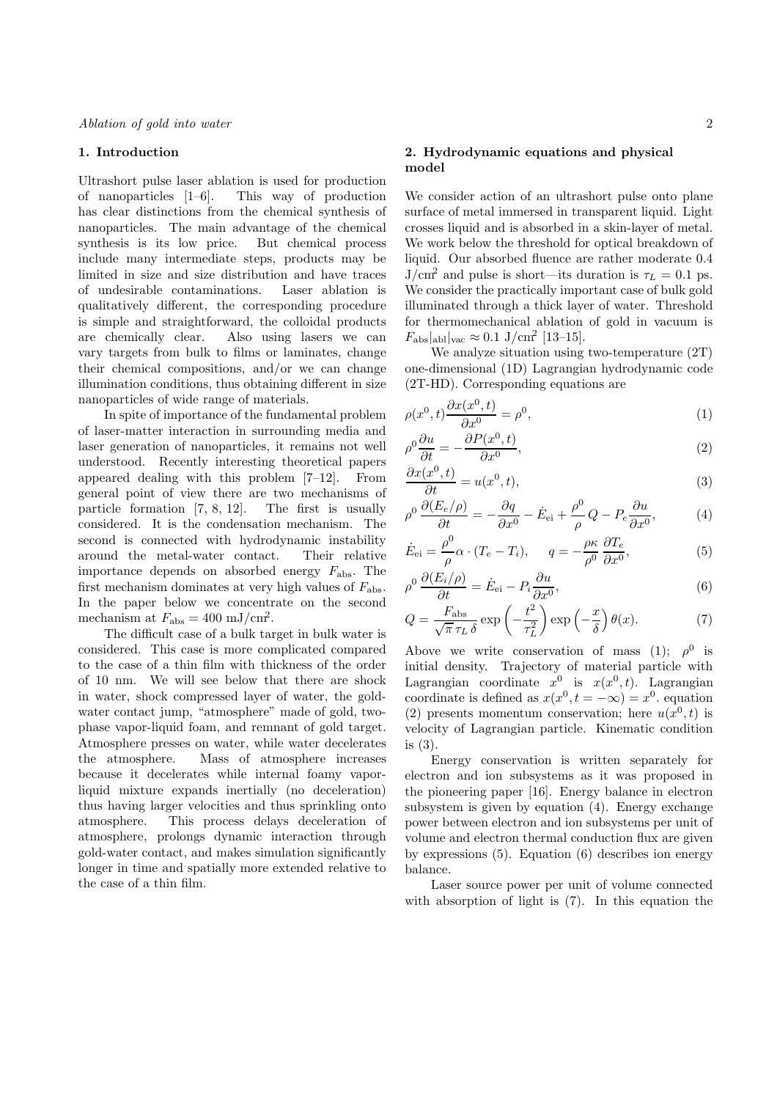## 1. Introduction

Ultrashort pulse laser ablation is used for production of nanoparticles [1–6]. This way of production has clear distinctions from the chemical synthesis of nanoparticles. The main advantage of the chemical synthesis is its low price. But chemical process include many intermediate steps, products may be limited in size and size distribution and have traces of undesirable contaminations. Laser ablation is qualitatively different, the corresponding procedure is simple and straightforward, the colloidal products are chemically clear. Also using lasers we can vary targets from bulk to films or laminates, change their chemical compositions, and/or we can change illumination conditions, thus obtaining different in size nanoparticles of wide range of materials.

In spite of importance of the fundamental problem of laser-matter interaction in surrounding media and laser generation of nanoparticles, it remains not well understood. Recently interesting theoretical papers appeared dealing with this problem [7–12]. From general point of view there are two mechanisms of particle formation [7, 8, 12]. The first is usually considered. It is the condensation mechanism. The second is connected with hydrodynamic instability around the metal-water contact. Their relative importance depends on absorbed energy  $F_{\text{abs}}$ . The first mechanism dominates at very high values of  $F_{\text{abs}}$ . In the paper below we concentrate on the second mechanism at  $F_{\text{abs}} = 400 \text{ mJ/cm}^2$ .

The difficult case of a bulk target in bulk water is considered. This case is more complicated compared to the case of a thin film with thickness of the order of 10 nm. We will see below that there are shock in water, shock compressed layer of water, the goldwater contact jump, "atmosphere" made of gold, twophase vapor-liquid foam, and remnant of gold target. Atmosphere presses on water, while water decelerates the atmosphere. Mass of atmosphere increases because it decelerates while internal foamy vaporliquid mixture expands inertially (no deceleration) thus having larger velocities and thus sprinkling onto atmosphere. This process delays deceleration of atmosphere, prolongs dynamic interaction through gold-water contact, and makes simulation significantly longer in time and spatially more extended relative to the case of a thin film.

## 2. Hydrodynamic equations and physical model

We consider action of an ultrashort pulse onto plane surface of metal immersed in transparent liquid. Light crosses liquid and is absorbed in a skin-layer of metal. We work below the threshold for optical breakdown of liquid. Our absorbed fluence are rather moderate 0.4  $J/cm^2$  and pulse is short—its duration is  $\tau_L = 0.1$  ps. We consider the practically important case of bulk gold illuminated through a thick layer of water. Threshold for thermomechanical ablation of gold in vacuum is  $F_{\rm abs}|_{\rm ab1}|_{\rm vac} \approx 0.1 \; {\rm J/cm^2} \; [13\text{--}15].$ 

We analyze situation using two-temperature (2T) one-dimensional (1D) Lagrangian hydrodynamic code (2T-HD). Corresponding equations are

$$
\rho(x^0, t) \frac{\partial x(x^0, t)}{\partial x^0} = \rho^0,\tag{1}
$$

$$
\rho^0 \frac{\partial u}{\partial t} = -\frac{\partial P(x^0, t)}{\partial x^0},\tag{2}
$$

$$
\frac{\partial x(x^0, t)}{\partial t} = u(x^0, t),\tag{3}
$$

$$
\rho^0 \frac{\partial (E_e/\rho)}{\partial t} = -\frac{\partial q}{\partial x^0} - \dot{E}_{\text{ei}} + \frac{\rho^0}{\rho} Q - P_e \frac{\partial u}{\partial x^0},\tag{4}
$$

$$
\dot{E}_{\rm ei} = \frac{\rho^0}{\rho} \alpha \cdot (T_e - T_i), \qquad q = -\frac{\rho \kappa}{\rho^0} \frac{\partial T_e}{\partial x^0},\tag{5}
$$

$$
\rho^0 \frac{\partial (E_i/\rho)}{\partial t} = \dot{E}_{\text{ei}} - P_i \frac{\partial u}{\partial x^0},\tag{6}
$$

$$
Q = \frac{F_{\text{abs}}}{\sqrt{\pi} \,\tau_L \,\delta} \exp\left(-\frac{t^2}{\tau_L^2}\right) \exp\left(-\frac{x}{\delta}\right) \theta(x). \tag{7}
$$

Above we write conservation of mass (1);  $\rho^0$  is initial density. Trajectory of material particle with Lagrangian coordinate  $x^0$  is  $x(x^0, t)$ . Lagrangian coordinate is defined as  $x(x^0, t = -\infty) = x^0$ . equation (2) presents momentum conservation; here  $u(x^0, t)$  is velocity of Lagrangian particle. Kinematic condition is (3).

Energy conservation is written separately for electron and ion subsystems as it was proposed in the pioneering paper [16]. Energy balance in electron subsystem is given by equation (4). Energy exchange power between electron and ion subsystems per unit of volume and electron thermal conduction flux are given by expressions (5). Equation (6) describes ion energy balance.

Laser source power per unit of volume connected with absorption of light is (7). In this equation the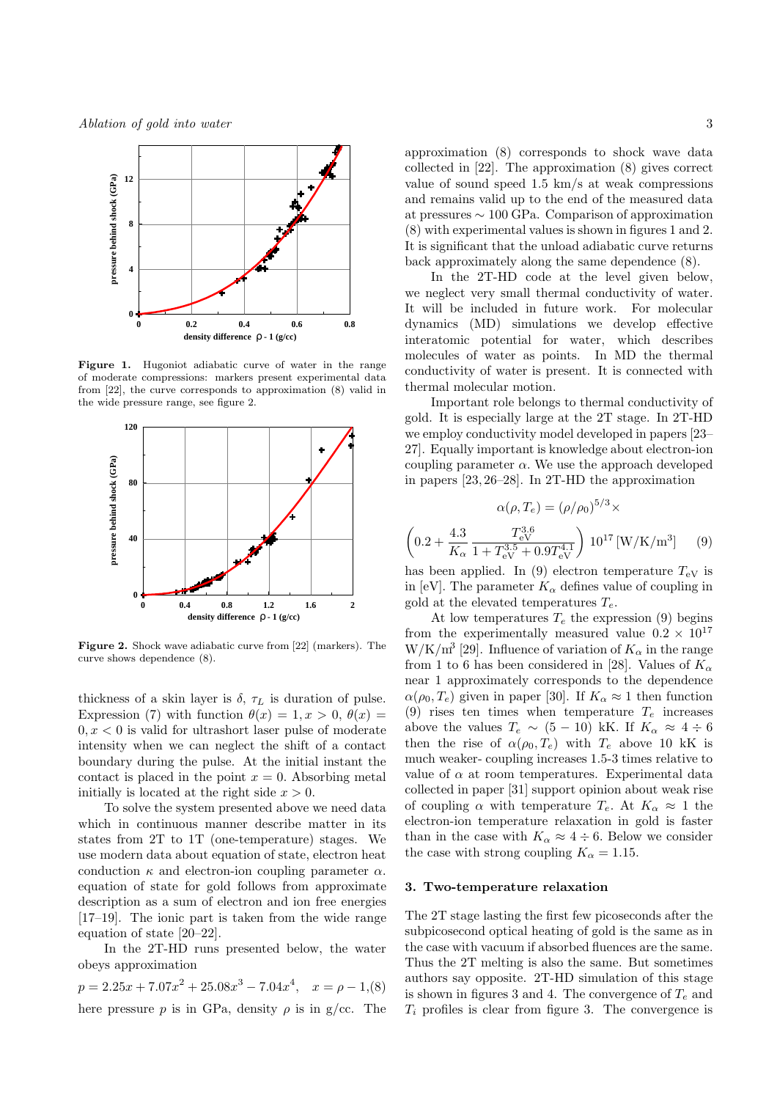

Figure 1. Hugoniot adiabatic curve of water in the range of moderate compressions: markers present experimental data from [22], the curve corresponds to approximation (8) valid in the wide pressure range, see figure 2.



Figure 2. Shock wave adiabatic curve from [22] (markers). The curve shows dependence (8).

thickness of a skin layer is  $\delta$ ,  $\tau_L$  is duration of pulse. Expression (7) with function  $\theta(x) = 1, x > 0, \theta(x) =$  $0, x < 0$  is valid for ultrashort laser pulse of moderate intensity when we can neglect the shift of a contact boundary during the pulse. At the initial instant the contact is placed in the point  $x = 0$ . Absorbing metal initially is located at the right side  $x > 0$ .

To solve the system presented above we need data which in continuous manner describe matter in its states from 2T to 1T (one-temperature) stages. We use modern data about equation of state, electron heat conduction  $\kappa$  and electron-ion coupling parameter  $\alpha$ . equation of state for gold follows from approximate description as a sum of electron and ion free energies [17–19]. The ionic part is taken from the wide range equation of state [20–22].

In the 2T-HD runs presented below, the water obeys approximation

 $p = 2.25x + 7.07x^2 + 25.08x^3 - 7.04x^4$ ,  $x = \rho - 1$ , (8) here pressure p is in GPa, density  $\rho$  is in g/cc. The approximation (8) corresponds to shock wave data collected in [22]. The approximation (8) gives correct value of sound speed 1.5 km/s at weak compressions and remains valid up to the end of the measured data at pressures ∼ 100 GPa. Comparison of approximation (8) with experimental values is shown in figures 1 and 2. It is significant that the unload adiabatic curve returns back approximately along the same dependence (8).

In the 2T-HD code at the level given below, we neglect very small thermal conductivity of water. It will be included in future work. For molecular dynamics (MD) simulations we develop effective interatomic potential for water, which describes molecules of water as points. In MD the thermal conductivity of water is present. It is connected with thermal molecular motion.

Important role belongs to thermal conductivity of gold. It is especially large at the 2T stage. In 2T-HD we employ conductivity model developed in papers [23– 27]. Equally important is knowledge about electron-ion coupling parameter  $\alpha$ . We use the approach developed in papers [23, 26–28]. In 2T-HD the approximation

$$
\alpha(\rho, T_e) = (\rho/\rho_0)^{5/3} \times
$$

$$
\left(0.2 + \frac{4.3}{K_{\alpha}} \frac{T_{\rm eV}^{3.6}}{1 + T_{\rm eV}^{3.5} + 0.9T_{\rm eV}^{4.1}}\right) 10^{17} \,[\text{W/K/m}^3] \tag{9}
$$

has been applied. In (9) electron temperature  $T_{eV}$  is in [eV]. The parameter  $K_{\alpha}$  defines value of coupling in gold at the elevated temperatures  $T_e$ .

At low temperatures  $T_e$  the expression (9) begins from the experimentally measured value  $0.2 \times 10^{17}$  $\rm W/K/m^3$  [29]. Influence of variation of  $K_\alpha$  in the range from 1 to 6 has been considered in [28]. Values of  $K_{\alpha}$ near 1 approximately corresponds to the dependence  $\alpha(\rho_0, T_e)$  given in paper [30]. If  $K_\alpha \approx 1$  then function (9) rises ten times when temperature  $T_e$  increases above the values  $T_e \sim (5 - 10)$  kK. If  $K_\alpha \approx 4 \div 6$ then the rise of  $\alpha(\rho_0, T_e)$  with  $T_e$  above 10 kK is much weaker- coupling increases 1.5-3 times relative to value of  $\alpha$  at room temperatures. Experimental data collected in paper [31] support opinion about weak rise of coupling  $\alpha$  with temperature  $T_e$ . At  $K_\alpha \approx 1$  the electron-ion temperature relaxation in gold is faster than in the case with  $K_{\alpha} \approx 4 \div 6$ . Below we consider the case with strong coupling  $K_{\alpha} = 1.15$ .

#### 3. Two-temperature relaxation

The 2T stage lasting the first few picoseconds after the subpicosecond optical heating of gold is the same as in the case with vacuum if absorbed fluences are the same. Thus the 2T melting is also the same. But sometimes authors say opposite. 2T-HD simulation of this stage is shown in figures 3 and 4. The convergence of  $T_e$  and  $T_i$  profiles is clear from figure 3. The convergence is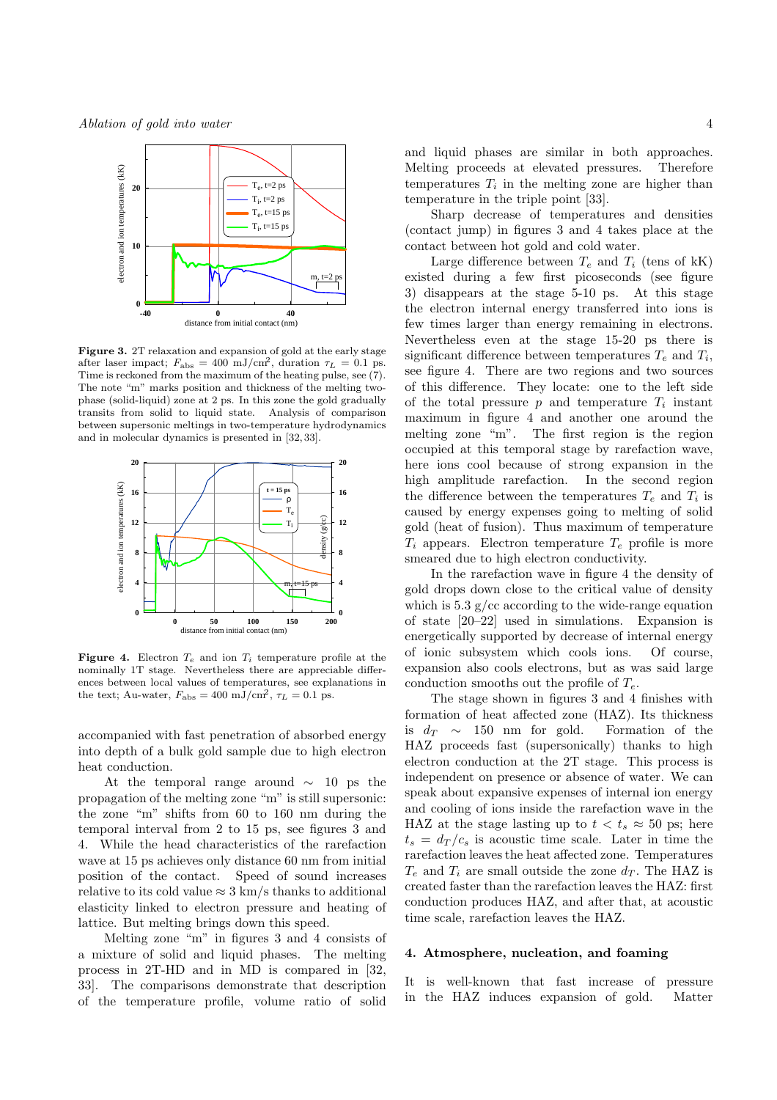

Figure 3. 2T relaxation and expansion of gold at the early stage after laser impact;  $F_{\text{abs}} = 400 \text{ mJ/cm}^2$ , duration  $\tau_L = 0.1 \text{ ps}$ . Time is reckoned from the maximum of the heating pulse, see (7). The note "m" marks position and thickness of the melting twophase (solid-liquid) zone at 2 ps. In this zone the gold gradually transits from solid to liquid state. Analysis of comparison between supersonic meltings in two-temperature hydrodynamics and in molecular dynamics is presented in [32, 33].



**Figure 4.** Electron  $T_e$  and ion  $T_i$  temperature profile at the nominally 1T stage. Nevertheless there are appreciable differences between local values of temperatures, see explanations in the text; Au-water,  $F_{\text{abs}} = 400 \text{ mJ/cm}^2$ ,  $\tau_L = 0.1 \text{ ps}$ .

accompanied with fast penetration of absorbed energy into depth of a bulk gold sample due to high electron heat conduction.

At the temporal range around  $\sim$  10 ps the propagation of the melting zone "m" is still supersonic: the zone "m" shifts from 60 to 160 nm during the temporal interval from 2 to 15 ps, see figures 3 and 4. While the head characteristics of the rarefaction wave at 15 ps achieves only distance 60 nm from initial position of the contact. Speed of sound increases relative to its cold value  $\approx 3 \text{ km/s}$  thanks to additional elasticity linked to electron pressure and heating of lattice. But melting brings down this speed.

Melting zone "m" in figures 3 and 4 consists of a mixture of solid and liquid phases. The melting process in 2T-HD and in MD is compared in [32, 33]. The comparisons demonstrate that description of the temperature profile, volume ratio of solid and liquid phases are similar in both approaches. Melting proceeds at elevated pressures. Therefore temperatures  $T_i$  in the melting zone are higher than temperature in the triple point [33].

Sharp decrease of temperatures and densities (contact jump) in figures 3 and 4 takes place at the contact between hot gold and cold water.

Large difference between  $T_e$  and  $T_i$  (tens of kK) existed during a few first picoseconds (see figure 3) disappears at the stage 5-10 ps. At this stage the electron internal energy transferred into ions is few times larger than energy remaining in electrons. Nevertheless even at the stage 15-20 ps there is significant difference between temperatures  $T_e$  and  $T_i$ , see figure 4. There are two regions and two sources of this difference. They locate: one to the left side of the total pressure  $p$  and temperature  $T_i$  instant maximum in figure 4 and another one around the melting zone "m". The first region is the region occupied at this temporal stage by rarefaction wave, here ions cool because of strong expansion in the high amplitude rarefaction. In the second region the difference between the temperatures  $T_e$  and  $T_i$  is caused by energy expenses going to melting of solid gold (heat of fusion). Thus maximum of temperature  $T_i$  appears. Electron temperature  $T_e$  profile is more smeared due to high electron conductivity.

In the rarefaction wave in figure 4 the density of gold drops down close to the critical value of density which is  $5.3 \text{ g/cc according to the wide-range equation}$ of state [20–22] used in simulations. Expansion is energetically supported by decrease of internal energy of ionic subsystem which cools ions. Of course, expansion also cools electrons, but as was said large conduction smooths out the profile of  $T_e$ .

The stage shown in figures 3 and 4 finishes with formation of heat affected zone (HAZ). Its thickness is  $d_T \sim 150$  nm for gold. Formation of the HAZ proceeds fast (supersonically) thanks to high electron conduction at the 2T stage. This process is independent on presence or absence of water. We can speak about expansive expenses of internal ion energy and cooling of ions inside the rarefaction wave in the HAZ at the stage lasting up to  $t < t_s \approx 50$  ps; here  $t_s = d_T/c_s$  is acoustic time scale. Later in time the rarefaction leaves the heat affected zone. Temperatures  $T_e$  and  $T_i$  are small outside the zone  $d_T$ . The HAZ is created faster than the rarefaction leaves the HAZ: first conduction produces HAZ, and after that, at acoustic time scale, rarefaction leaves the HAZ.

## 4. Atmosphere, nucleation, and foaming

It is well-known that fast increase of pressure in the HAZ induces expansion of gold. Matter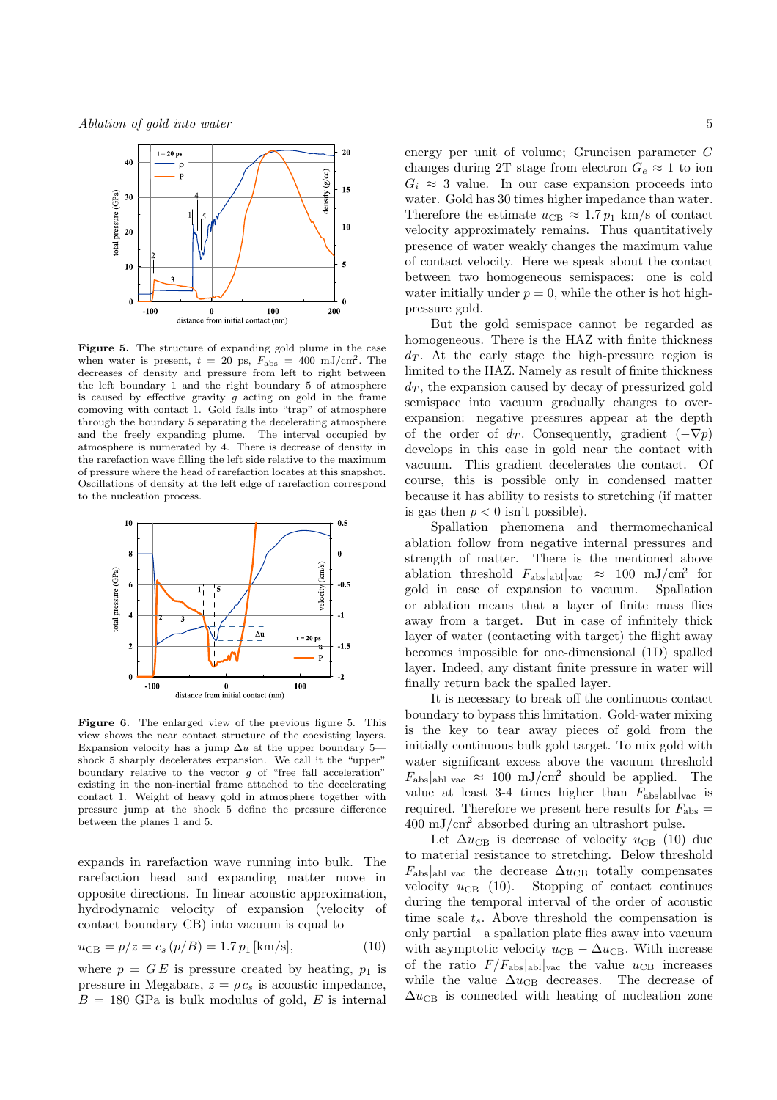

Figure 5. The structure of expanding gold plume in the case when water is present,  $t = 20$  ps,  $F_{\text{abs}} = 400 \text{ mJ/cm}^2$ . The decreases of density and pressure from left to right between the left boundary 1 and the right boundary 5 of atmosphere is caused by effective gravity  $g$  acting on gold in the frame comoving with contact 1. Gold falls into "trap" of atmosphere through the boundary 5 separating the decelerating atmosphere and the freely expanding plume. The interval occupied by atmosphere is numerated by 4. There is decrease of density in the rarefaction wave filling the left side relative to the maximum of pressure where the head of rarefaction locates at this snapshot. Oscillations of density at the left edge of rarefaction correspond to the nucleation process.



Figure 6. The enlarged view of the previous figure 5. This view shows the near contact structure of the coexisting layers. Expansion velocity has a jump  $\Delta u$  at the upper boundary 5– shock 5 sharply decelerates expansion. We call it the "upper" boundary relative to the vector  $g$  of "free fall acceleration" existing in the non-inertial frame attached to the decelerating contact 1. Weight of heavy gold in atmosphere together with pressure jump at the shock 5 define the pressure difference between the planes 1 and 5.

expands in rarefaction wave running into bulk. The rarefaction head and expanding matter move in opposite directions. In linear acoustic approximation, hydrodynamic velocity of expansion (velocity of contact boundary CB) into vacuum is equal to

$$
u_{\rm CB} = p/z = c_s (p/B) = 1.7 p_1 \,\text{[km/s]},\tag{10}
$$

where  $p = G E$  is pressure created by heating,  $p_1$  is pressure in Megabars,  $z = \rho c_s$  is acoustic impedance,  $B = 180$  GPa is bulk modulus of gold, E is internal energy per unit of volume; Gruneisen parameter G changes during 2T stage from electron  $G_e \approx 1$  to ion  $G_i \approx 3$  value. In our case expansion proceeds into water. Gold has 30 times higher impedance than water. Therefore the estimate  $u_{\text{CB}} \approx 1.7 p_1 \text{ km/s}$  of contact velocity approximately remains. Thus quantitatively presence of water weakly changes the maximum value of contact velocity. Here we speak about the contact between two homogeneous semispaces: one is cold water initially under  $p = 0$ , while the other is hot highpressure gold.

But the gold semispace cannot be regarded as homogeneous. There is the HAZ with finite thickness  $d_T$ . At the early stage the high-pressure region is limited to the HAZ. Namely as result of finite thickness  $d<sub>T</sub>$ , the expansion caused by decay of pressurized gold semispace into vacuum gradually changes to overexpansion: negative pressures appear at the depth of the order of  $d_T$ . Consequently, gradient  $(-\nabla p)$ develops in this case in gold near the contact with vacuum. This gradient decelerates the contact. Of course, this is possible only in condensed matter because it has ability to resists to stretching (if matter is gas then  $p < 0$  isn't possible).

Spallation phenomena and thermomechanical ablation follow from negative internal pressures and strength of matter. There is the mentioned above ablation threshold  $F_{\text{abs}}|_{\text{abl}}|_{\text{vac}} \approx 100 \text{ mJ/cm}^2 \text{ for}$ gold in case of expansion to vacuum. Spallation or ablation means that a layer of finite mass flies away from a target. But in case of infinitely thick layer of water (contacting with target) the flight away becomes impossible for one-dimensional (1D) spalled layer. Indeed, any distant finite pressure in water will finally return back the spalled layer.

It is necessary to break off the continuous contact boundary to bypass this limitation. Gold-water mixing is the key to tear away pieces of gold from the initially continuous bulk gold target. To mix gold with water significant excess above the vacuum threshold  $F_{\text{abs}}|_{\text{abl}}|_{\text{vac}} \approx 100 \text{ mJ/cm}^2$  should be applied. The value at least 3-4 times higher than  $F_{\text{abs}}|_{\text{abl}}|_{\text{vac}}$  is required. Therefore we present here results for  $F_{\text{abs}} =$ 400 mJ/cm<sup>2</sup> absorbed during an ultrashort pulse.

Let  $\Delta u_{\text{CB}}$  is decrease of velocity  $u_{\text{CB}}$  (10) due to material resistance to stretching. Below threshold  $F_{\text{abs}}|_{\text{ab}}|_{\text{vac}}$  the decrease  $\Delta u_{\text{CB}}$  totally compensates velocity  $u_{\text{CB}}$  (10). Stopping of contact continues Stopping of contact continues during the temporal interval of the order of acoustic time scale  $t_s$ . Above threshold the compensation is only partial—a spallation plate flies away into vacuum with asymptotic velocity  $u_{\text{CB}} - \Delta u_{\text{CB}}$ . With increase of the ratio  $F/F_{\text{abs}}|_{\text{abl}}|_{\text{vac}}$  the value  $u_{\text{CB}}$  increases while the value  $\Delta u_{\text{CB}}$  decreases. The decrease of  $\Delta u_{\text{CB}}$  is connected with heating of nucleation zone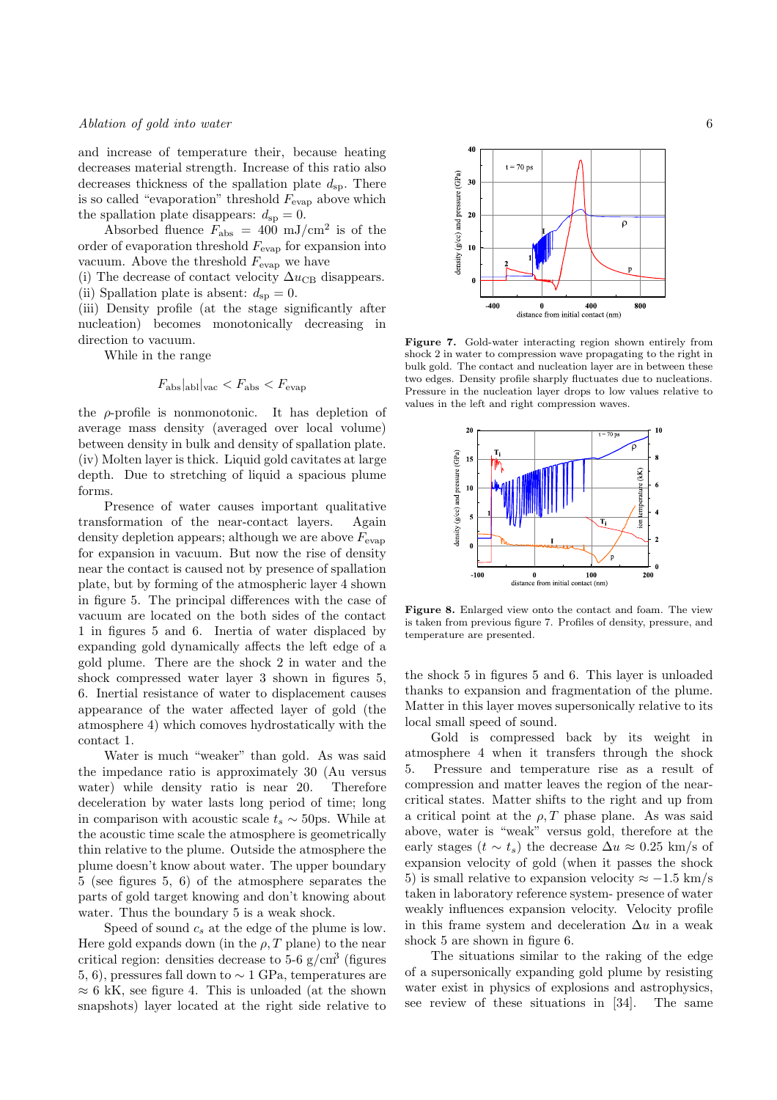and increase of temperature their, because heating decreases material strength. Increase of this ratio also decreases thickness of the spallation plate  $d_{sp}$ . There is so called "evaporation" threshold  $F_{\text{evap}}$  above which the spallation plate disappears:  $d_{sp} = 0$ .

Absorbed fluence  $F_{\text{abs}} = 400 \text{ mJ/cm}^2$  is of the order of evaporation threshold  $F_{\text{evap}}$  for expansion into vacuum. Above the threshold  $F_{\text{evap}}$  we have

(i) The decrease of contact velocity  $\Delta u_{\text{CB}}$  disappears. (ii) Spallation plate is absent:  $d_{\rm{sp}} = 0$ .

(iii) Density profile (at the stage significantly after nucleation) becomes monotonically decreasing in direction to vacuum.

While in the range

$$
F_{\rm abs}|_{\rm abl}|_{\rm vac} < F_{\rm abs} < F_{\rm evap}
$$

the  $\rho$ -profile is nonmonotonic. It has depletion of average mass density (averaged over local volume) between density in bulk and density of spallation plate. (iv) Molten layer is thick. Liquid gold cavitates at large depth. Due to stretching of liquid a spacious plume forms.

Presence of water causes important qualitative transformation of the near-contact layers. Again density depletion appears; although we are above  $F_{\text{evap}}$ for expansion in vacuum. But now the rise of density near the contact is caused not by presence of spallation plate, but by forming of the atmospheric layer 4 shown in figure 5. The principal differences with the case of vacuum are located on the both sides of the contact 1 in figures 5 and 6. Inertia of water displaced by expanding gold dynamically affects the left edge of a gold plume. There are the shock 2 in water and the shock compressed water layer 3 shown in figures 5, 6. Inertial resistance of water to displacement causes appearance of the water affected layer of gold (the atmosphere 4) which comoves hydrostatically with the contact 1.

Water is much "weaker" than gold. As was said the impedance ratio is approximately 30 (Au versus water) while density ratio is near 20. Therefore deceleration by water lasts long period of time; long in comparison with acoustic scale  $t_s \sim 50$ ps. While at the acoustic time scale the atmosphere is geometrically thin relative to the plume. Outside the atmosphere the plume doesn't know about water. The upper boundary 5 (see figures 5, 6) of the atmosphere separates the parts of gold target knowing and don't knowing about water. Thus the boundary 5 is a weak shock.

Speed of sound  $c_s$  at the edge of the plume is low. Here gold expands down (in the  $\rho$ , T plane) to the near critical region: densities decrease to  $5\n-6$  g/cm<sup>3</sup> (figures 5, 6), pressures fall down to  $\sim 1$  GPa, temperatures are  $\approx 6$  kK, see figure 4. This is unloaded (at the shown snapshots) layer located at the right side relative to



Figure 7. Gold-water interacting region shown entirely from shock 2 in water to compression wave propagating to the right in bulk gold. The contact and nucleation layer are in between these two edges. Density profile sharply fluctuates due to nucleations. Pressure in the nucleation layer drops to low values relative to values in the left and right compression waves.



Figure 8. Enlarged view onto the contact and foam. The view is taken from previous figure 7. Profiles of density, pressure, and temperature are presented.

the shock 5 in figures 5 and 6. This layer is unloaded thanks to expansion and fragmentation of the plume. Matter in this layer moves supersonically relative to its local small speed of sound.

Gold is compressed back by its weight in atmosphere 4 when it transfers through the shock 5. Pressure and temperature rise as a result of compression and matter leaves the region of the nearcritical states. Matter shifts to the right and up from a critical point at the  $\rho$ , T phase plane. As was said above, water is "weak" versus gold, therefore at the early stages  $(t \sim t_s)$  the decrease  $\Delta u \approx 0.25$  km/s of expansion velocity of gold (when it passes the shock 5) is small relative to expansion velocity  $\approx -1.5$  km/s taken in laboratory reference system- presence of water weakly influences expansion velocity. Velocity profile in this frame system and deceleration  $\Delta u$  in a weak shock 5 are shown in figure 6.

The situations similar to the raking of the edge of a supersonically expanding gold plume by resisting water exist in physics of explosions and astrophysics, see review of these situations in [34]. The same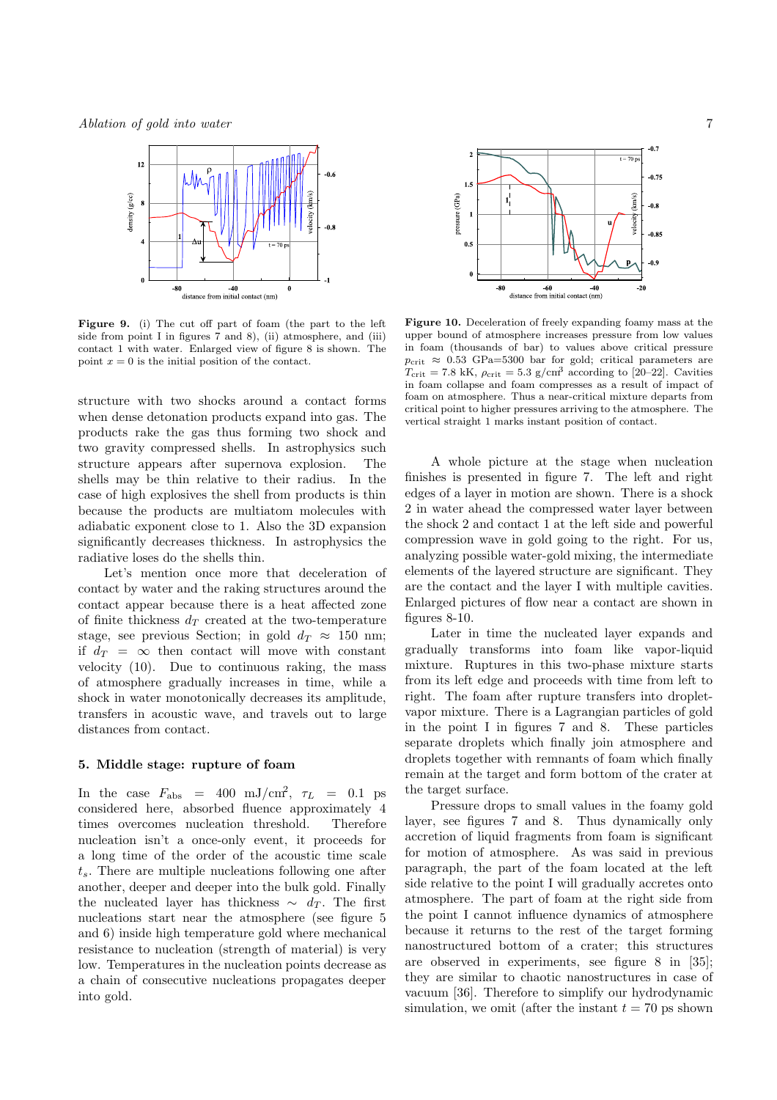Ablation of gold into water 7



Figure 9. (i) The cut off part of foam (the part to the left side from point I in figures 7 and 8), (ii) atmosphere, and (iii) contact 1 with water. Enlarged view of figure 8 is shown. The point  $x = 0$  is the initial position of the contact.

structure with two shocks around a contact forms when dense detonation products expand into gas. The products rake the gas thus forming two shock and two gravity compressed shells. In astrophysics such structure appears after supernova explosion. The shells may be thin relative to their radius. In the case of high explosives the shell from products is thin because the products are multiatom molecules with adiabatic exponent close to 1. Also the 3D expansion significantly decreases thickness. In astrophysics the radiative loses do the shells thin.

Let's mention once more that deceleration of contact by water and the raking structures around the contact appear because there is a heat affected zone of finite thickness  $d_T$  created at the two-temperature stage, see previous Section; in gold  $d_T \approx 150$  nm; if  $d_T = \infty$  then contact will move with constant velocity (10). Due to continuous raking, the mass of atmosphere gradually increases in time, while a shock in water monotonically decreases its amplitude, transfers in acoustic wave, and travels out to large distances from contact.

#### 5. Middle stage: rupture of foam

In the case  $F_{\text{abs}} = 400 \text{ mJ/cm}^2$ ,  $\tau_L = 0.1 \text{ ps}$ considered here, absorbed fluence approximately 4 times overcomes nucleation threshold. Therefore nucleation isn't a once-only event, it proceeds for a long time of the order of the acoustic time scale  $t_s$ . There are multiple nucleations following one after another, deeper and deeper into the bulk gold. Finally the nucleated layer has thickness  $\sim d_T$ . The first nucleations start near the atmosphere (see figure 5 and 6) inside high temperature gold where mechanical resistance to nucleation (strength of material) is very low. Temperatures in the nucleation points decrease as a chain of consecutive nucleations propagates deeper into gold.



Figure 10. Deceleration of freely expanding foamy mass at the upper bound of atmosphere increases pressure from low values in foam (thousands of bar) to values above critical pressure  $p_{\text{crit}} \approx 0.53 \text{ GPa} = 5300 \text{ bar}$  for gold; critical parameters are  $T_{\text{crit}} = 7.8 \text{ kK}$ ,  $\rho_{\text{crit}} = 5.3 \text{ g/cm}^3$  according to [20–22]. Cavities in foam collapse and foam compresses as a result of impact of foam on atmosphere. Thus a near-critical mixture departs from critical point to higher pressures arriving to the atmosphere. The vertical straight 1 marks instant position of contact.

A whole picture at the stage when nucleation finishes is presented in figure 7. The left and right edges of a layer in motion are shown. There is a shock 2 in water ahead the compressed water layer between the shock 2 and contact 1 at the left side and powerful compression wave in gold going to the right. For us, analyzing possible water-gold mixing, the intermediate elements of the layered structure are significant. They are the contact and the layer I with multiple cavities. Enlarged pictures of flow near a contact are shown in figures 8-10.

Later in time the nucleated layer expands and gradually transforms into foam like vapor-liquid mixture. Ruptures in this two-phase mixture starts from its left edge and proceeds with time from left to right. The foam after rupture transfers into dropletvapor mixture. There is a Lagrangian particles of gold in the point I in figures 7 and 8. These particles separate droplets which finally join atmosphere and droplets together with remnants of foam which finally remain at the target and form bottom of the crater at the target surface.

Pressure drops to small values in the foamy gold layer, see figures 7 and 8. Thus dynamically only accretion of liquid fragments from foam is significant for motion of atmosphere. As was said in previous paragraph, the part of the foam located at the left side relative to the point I will gradually accretes onto atmosphere. The part of foam at the right side from the point I cannot influence dynamics of atmosphere because it returns to the rest of the target forming nanostructured bottom of a crater; this structures are observed in experiments, see figure 8 in [35]; they are similar to chaotic nanostructures in case of vacuum [36]. Therefore to simplify our hydrodynamic simulation, we omit (after the instant  $t = 70$  ps shown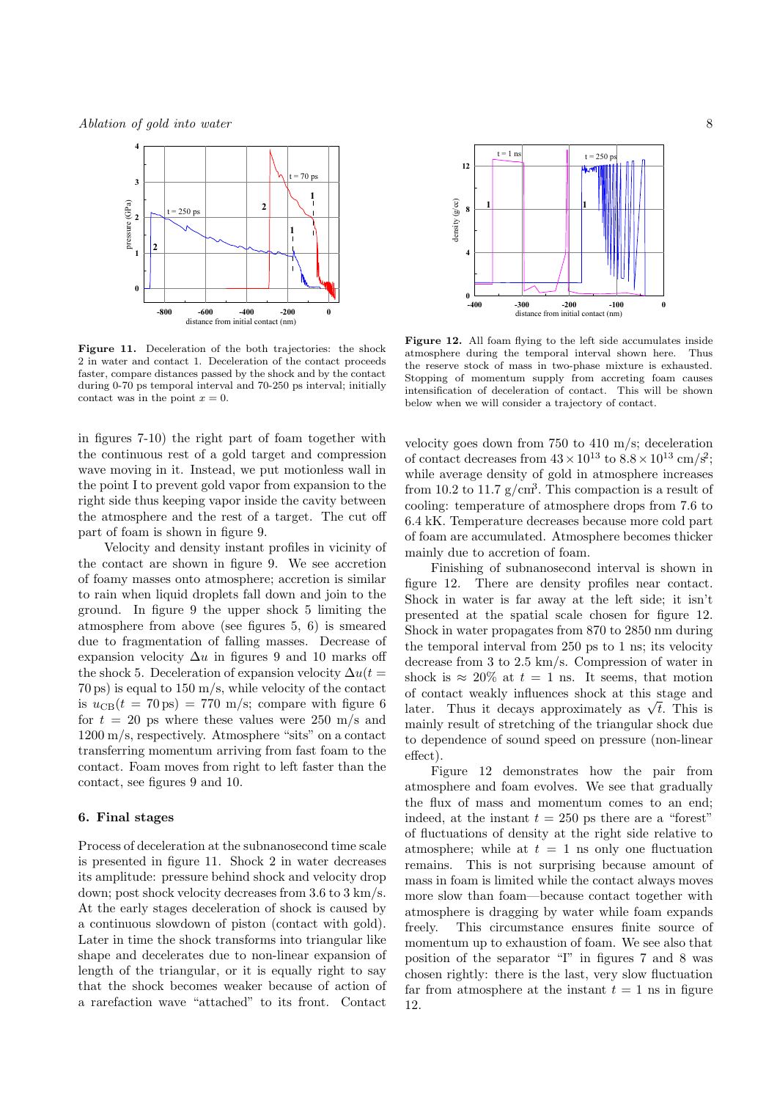

Figure 11. Deceleration of the both trajectories: the shock 2 in water and contact 1. Deceleration of the contact proceeds faster, compare distances passed by the shock and by the contact during 0-70 ps temporal interval and 70-250 ps interval; initially contact was in the point  $x = 0$ .

in figures 7-10) the right part of foam together with the continuous rest of a gold target and compression wave moving in it. Instead, we put motionless wall in the point I to prevent gold vapor from expansion to the right side thus keeping vapor inside the cavity between the atmosphere and the rest of a target. The cut off part of foam is shown in figure 9.

Velocity and density instant profiles in vicinity of the contact are shown in figure 9. We see accretion of foamy masses onto atmosphere; accretion is similar to rain when liquid droplets fall down and join to the ground. In figure 9 the upper shock 5 limiting the atmosphere from above (see figures 5, 6) is smeared due to fragmentation of falling masses. Decrease of expansion velocity  $\Delta u$  in figures 9 and 10 marks off the shock 5. Deceleration of expansion velocity  $\Delta u(t)$ 70 ps) is equal to 150 m/s, while velocity of the contact is  $u_{CB}(t = 70 \text{ ps}) = 770 \text{ m/s}$ ; compare with figure 6 for  $t = 20$  ps where these values were 250 m/s and 1200 m/s, respectively. Atmosphere "sits" on a contact transferring momentum arriving from fast foam to the contact. Foam moves from right to left faster than the contact, see figures 9 and 10.

## 6. Final stages

Process of deceleration at the subnanosecond time scale is presented in figure 11. Shock 2 in water decreases its amplitude: pressure behind shock and velocity drop down; post shock velocity decreases from 3.6 to 3 km/s. At the early stages deceleration of shock is caused by a continuous slowdown of piston (contact with gold). Later in time the shock transforms into triangular like shape and decelerates due to non-linear expansion of length of the triangular, or it is equally right to say that the shock becomes weaker because of action of a rarefaction wave "attached" to its front. Contact



Figure 12. All foam flying to the left side accumulates inside atmosphere during the temporal interval shown here. Thus the reserve stock of mass in two-phase mixture is exhausted. Stopping of momentum supply from accreting foam causes intensification of deceleration of contact. This will be shown below when we will consider a trajectory of contact.

velocity goes down from 750 to 410 m/s; deceleration of contact decreases from  $43 \times 10^{13}$  to  $8.8 \times 10^{13}$  cm/s<sup>2</sup>; while average density of gold in atmosphere increases from 10.2 to 11.7  $g/cm<sup>3</sup>$ . This compaction is a result of cooling: temperature of atmosphere drops from 7.6 to 6.4 kK. Temperature decreases because more cold part of foam are accumulated. Atmosphere becomes thicker mainly due to accretion of foam.

Finishing of subnanosecond interval is shown in figure 12. There are density profiles near contact. Shock in water is far away at the left side; it isn't presented at the spatial scale chosen for figure 12. Shock in water propagates from 870 to 2850 nm during the temporal interval from 250 ps to 1 ns; its velocity decrease from 3 to 2.5 km/s. Compression of water in shock is  $\approx 20\%$  at  $t = 1$  ns. It seems, that motion of contact weakly influences shock at this stage and later. Thus it decays approximately as  $\sqrt{t}$ . This is mainly result of stretching of the triangular shock due to dependence of sound speed on pressure (non-linear effect).

Figure 12 demonstrates how the pair from atmosphere and foam evolves. We see that gradually the flux of mass and momentum comes to an end; indeed, at the instant  $t = 250$  ps there are a "forest" of fluctuations of density at the right side relative to atmosphere; while at  $t = 1$  ns only one fluctuation remains. This is not surprising because amount of mass in foam is limited while the contact always moves more slow than foam—because contact together with atmosphere is dragging by water while foam expands freely. This circumstance ensures finite source of momentum up to exhaustion of foam. We see also that position of the separator "I" in figures 7 and 8 was chosen rightly: there is the last, very slow fluctuation far from atmosphere at the instant  $t = 1$  ns in figure 12.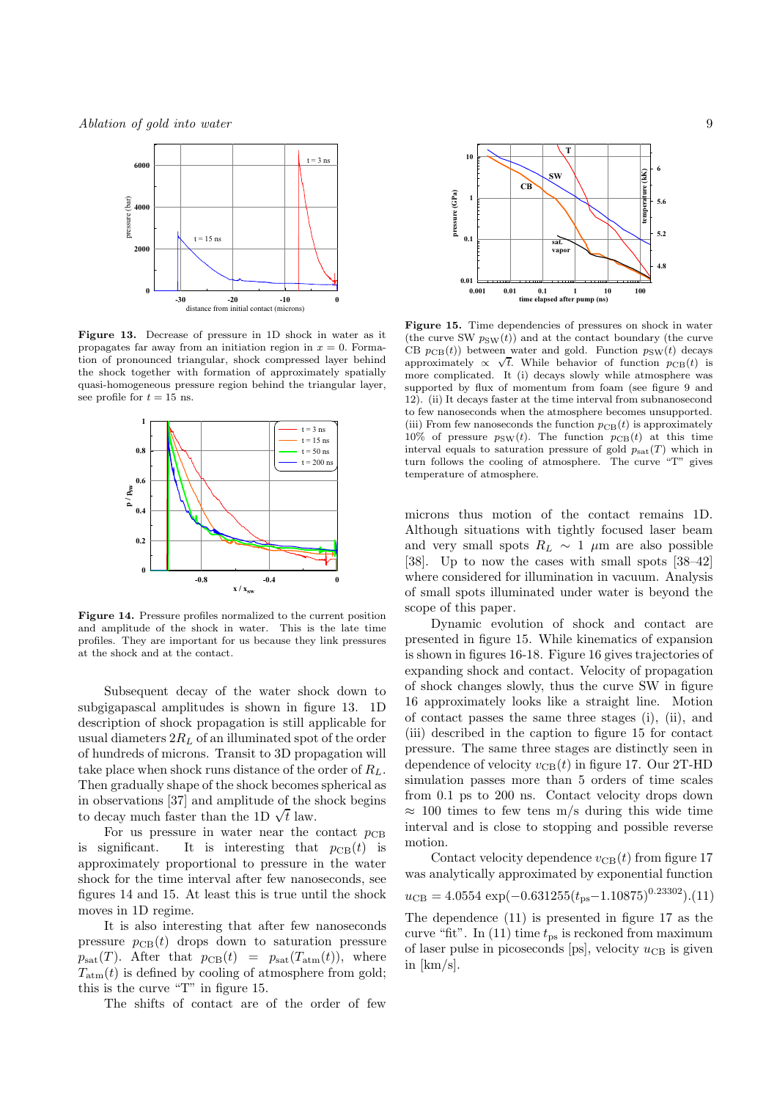Ablation of gold into water 9



Figure 13. Decrease of pressure in 1D shock in water as it propagates far away from an initiation region in  $x = 0$ . Formation of pronounced triangular, shock compressed layer behind the shock together with formation of approximately spatially quasi-homogeneous pressure region behind the triangular layer, see profile for  $t = 15$  ns.



Figure 14. Pressure profiles normalized to the current position and amplitude of the shock in water. This is the late time profiles. They are important for us because they link pressures at the shock and at the contact.

Subsequent decay of the water shock down to subgigapascal amplitudes is shown in figure 13. 1D description of shock propagation is still applicable for usual diameters  $2R_L$  of an illuminated spot of the order of hundreds of microns. Transit to 3D propagation will take place when shock runs distance of the order of  $R_L$ . Then gradually shape of the shock becomes spherical as in observations [37] and amplitude of the shock begins to decay much faster than the 1D  $\sqrt{t}$  law.

For us pressure in water near the contact  $p_{CB}$ is significant. It is interesting that  $p_{CB}(t)$  is approximately proportional to pressure in the water shock for the time interval after few nanoseconds, see figures 14 and 15. At least this is true until the shock moves in 1D regime.

It is also interesting that after few nanoseconds pressure  $p_{CB}(t)$  drops down to saturation pressure  $p_{\text{sat}}(T)$ . After that  $p_{\text{CB}}(t) = p_{\text{sat}}(T_{\text{atm}}(t)),$  where  $T_{\text{atm}}(t)$  is defined by cooling of atmosphere from gold; this is the curve "T" in figure 15.

The shifts of contact are of the order of few



Figure 15. Time dependencies of pressures on shock in water (the curve SW  $p_{SW}(t)$ ) and at the contact boundary (the curve CB  $p_{CB}(t)$  between water and gold. Function  $p_{SW}(t)$  decays approximately  $\propto \sqrt{t}$ . While behavior of function  $p_{CB}(t)$  is more complicated. It (i) decays slowly while atmosphere was supported by flux of momentum from foam (see figure 9 and 12). (ii) It decays faster at the time interval from subnanosecond to few nanoseconds when the atmosphere becomes unsupported. (iii) From few nanoseconds the function  $p_{CB}(t)$  is approximately 10% of pressure  $p_{SW}(t)$ . The function  $p_{CB}(t)$  at this time interval equals to saturation pressure of gold  $p_{\text{sat}}(T)$  which in turn follows the cooling of atmosphere. The curve "T" gives temperature of atmosphere.

microns thus motion of the contact remains 1D. Although situations with tightly focused laser beam and very small spots  $R_L \sim 1 \mu m$  are also possible [38]. Up to now the cases with small spots [38–42] where considered for illumination in vacuum. Analysis of small spots illuminated under water is beyond the scope of this paper.

Dynamic evolution of shock and contact are presented in figure 15. While kinematics of expansion is shown in figures 16-18. Figure 16 gives trajectories of expanding shock and contact. Velocity of propagation of shock changes slowly, thus the curve SW in figure 16 approximately looks like a straight line. Motion of contact passes the same three stages (i), (ii), and (iii) described in the caption to figure 15 for contact pressure. The same three stages are distinctly seen in dependence of velocity  $v_{CB}(t)$  in figure 17. Our 2T-HD simulation passes more than 5 orders of time scales from 0.1 ps to 200 ns. Contact velocity drops down  $\approx$  100 times to few tens m/s during this wide time interval and is close to stopping and possible reverse motion.

Contact velocity dependence  $v_{\text{CB}}(t)$  from figure 17 was analytically approximated by exponential function  $u_{\text{CB}} = 4.0554 \exp(-0.631255(t_{\text{ps}} - 1.10875)^{0.23302})$ .(11)

The dependence (11) is presented in figure 17 as the curve "fit". In  $(11)$  time  $t_{\text{ps}}$  is reckoned from maximum of laser pulse in picoseconds [ps], velocity  $u_{\text{CB}}$  is given in [km/s].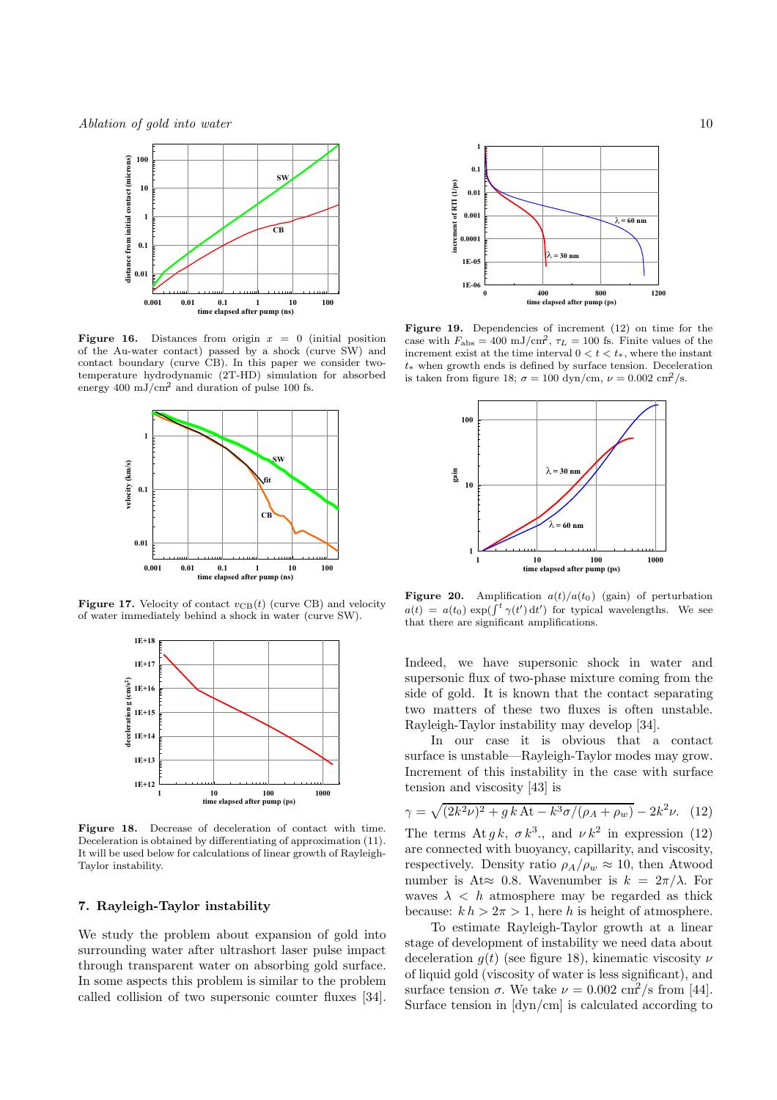Ablation of gold into water 10



**Figure 16.** Distances from origin  $x = 0$  (initial position of the Au-water contact) passed by a shock (curve SW) and contact boundary (curve CB). In this paper we consider twotemperature hydrodynamic (2T-HD) simulation for absorbed energy  $400 \text{ mJ/cm}^2$  and duration of pulse 100 fs.



Figure 17. Velocity of contact  $v_{CB}(t)$  (curve CB) and velocity of water immediately behind a shock in water (curve SW).



Figure 18. Decrease of deceleration of contact with time. Deceleration is obtained by differentiating of approximation (11). It will be used below for calculations of linear growth of Rayleigh-Taylor instability.

## 7. Rayleigh-Taylor instability

We study the problem about expansion of gold into surrounding water after ultrashort laser pulse impact through transparent water on absorbing gold surface. In some aspects this problem is similar to the problem called collision of two supersonic counter fluxes [34].



Figure 19. Dependencies of increment (12) on time for the case with  $F_{\text{abs}} = 400 \text{ mJ/cm}^2$ ,  $\tau_L = 100 \text{ fs}$ . Finite values of the increment exist at the time interval  $0 < t < t_*$ , where the instant t∗ when growth ends is defined by surface tension. Deceleration is taken from figure 18;  $\sigma = 100 \text{ dyn/cm}, \nu = 0.002 \text{ cm}^2/\text{s}.$ 



Figure 20. Amplification  $a(t)/a(t_0)$  (gain) of perturbation  $a(t) = a(t_0) \exp(\int^t \gamma(t') dt')$  for typical wavelengths. We see that there are significant amplifications.

Indeed, we have supersonic shock in water and supersonic flux of two-phase mixture coming from the side of gold. It is known that the contact separating two matters of these two fluxes is often unstable. Rayleigh-Taylor instability may develop [34].

In our case it is obvious that a contact surface is unstable—Rayleigh-Taylor modes may grow. Increment of this instability in the case with surface tension and viscosity [43] is

$$
\gamma = \sqrt{(2k^2\nu)^2 + g k \, \text{At} - k^3 \sigma / (\rho_A + \rho_w)} - 2k^2 \nu. \tag{12}
$$

The terms At  $g k$ ,  $\sigma k^3$ ., and  $\nu k^2$  in expression (12) are connected with buoyancy, capillarity, and viscosity, respectively. Density ratio  $\rho_A/\rho_w \approx 10$ , then Atwood number is At $\approx$  0.8. Wavenumber is  $k = 2\pi/\lambda$ . For waves  $\lambda$  < h atmosphere may be regarded as thick because:  $k h > 2\pi > 1$ , here h is height of atmosphere.

To estimate Rayleigh-Taylor growth at a linear stage of development of instability we need data about deceleration  $g(t)$  (see figure 18), kinematic viscosity  $\nu$ of liquid gold (viscosity of water is less significant), and surface tension  $\sigma$ . We take  $\nu = 0.002 \text{ cm}^2/\text{s}$  from [44]. Surface tension in [dyn/cm] is calculated according to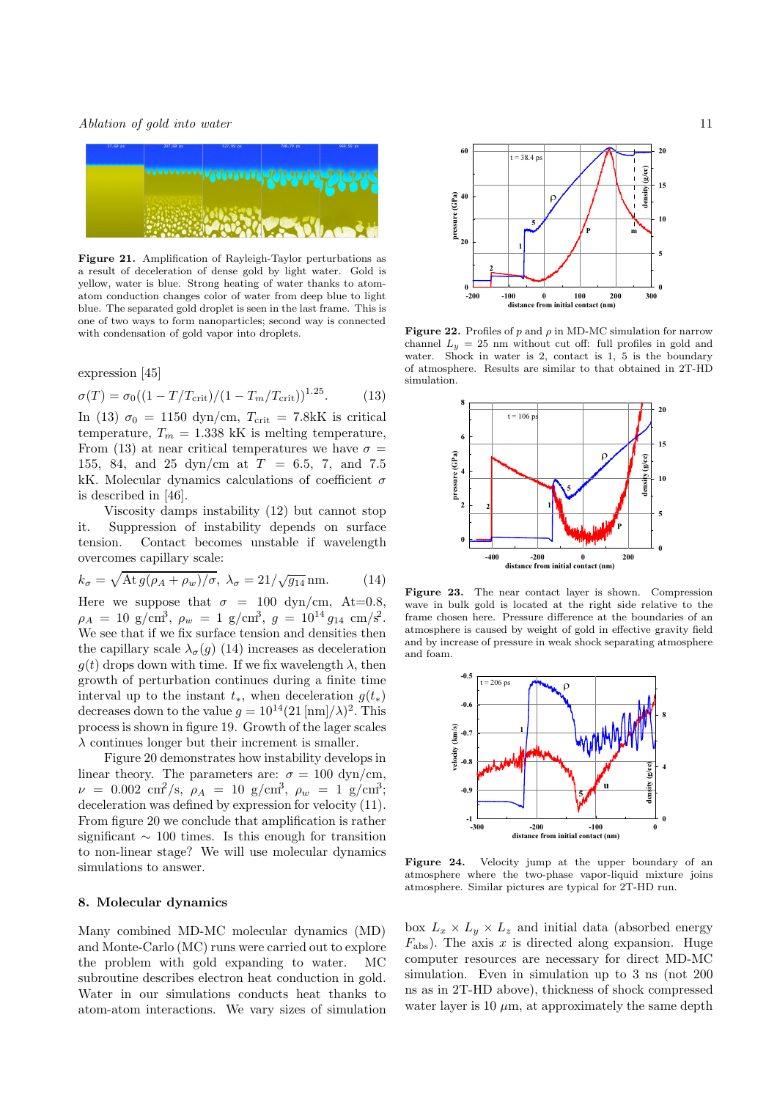

Figure 21. Amplification of Rayleigh-Taylor perturbations as a result of deceleration of dense gold by light water. Gold is yellow, water is blue. Strong heating of water thanks to atomatom conduction changes color of water from deep blue to light blue. The separated gold droplet is seen in the last frame. This is one of two ways to form nanoparticles; second way is connected with condensation of gold vapor into droplets.

expression [45]

$$
\sigma(T) = \sigma_0 \left( (1 - T/T_{\text{crit}}) / (1 - T_m/T_{\text{crit}}) \right)^{1.25}.
$$
 (13)

In (13)  $\sigma_0 = 1150 \text{ dyn/cm}, T_{\text{crit}} = 7.8 \text{kK}$  is critical temperature,  $T_m = 1.338 \text{ kK}$  is melting temperature, From (13) at near critical temperatures we have  $\sigma =$ 155, 84, and 25 dyn/cm at T = 6.5, 7, and 7.5 kK. Molecular dynamics calculations of coefficient  $\sigma$ is described in [46].

Viscosity damps instability (12) but cannot stop it. Suppression of instability depends on surface tension. Contact becomes unstable if wavelength overcomes capillary scale:

$$
k_{\sigma} = \sqrt{\text{At } g(\rho_A + \rho_w)/\sigma}, \ \lambda_{\sigma} = 21/\sqrt{g_{14}} \text{ nm.}
$$
 (14)

Here we suppose that  $\sigma = 100 \text{ dyn/cm}$ , At=0.8,  $\rho_A = 10 \text{ g/cm}^3$ ,  $\rho_w = 1 \text{ g/cm}^3$ ,  $g = 10^{14} g_{14} \text{ cm/s}^2$ . We see that if we fix surface tension and densities then the capillary scale  $\lambda_{\sigma}(q)$  (14) increases as deceleration  $g(t)$  drops down with time. If we fix wavelength  $\lambda$ , then growth of perturbation continues during a finite time interval up to the instant  $t_*,$  when deceleration  $q(t_*)$ decreases down to the value  $g = 10^{14} (21 \text{ [nm]}/\lambda)^2$ . This process is shown in figure 19. Growth of the lager scales  $\lambda$  continues longer but their increment is smaller.

Figure 20 demonstrates how instability develops in linear theory. The parameters are:  $\sigma = 100 \text{ dyn/cm}$ ,  $\nu = 0.002 \text{ cm}^2/\text{s}, \ \rho_A = 10 \text{ g/cm}^3, \ \rho_w = 1 \text{ g/cm}^3;$ deceleration was defined by expression for velocity (11). From figure 20 we conclude that amplification is rather significant  $\sim$  100 times. Is this enough for transition to non-linear stage? We will use molecular dynamics simulations to answer.

#### 8. Molecular dynamics

Many combined MD-MC molecular dynamics (MD) and Monte-Carlo (MC) runs were carried out to explore the problem with gold expanding to water. MC subroutine describes electron heat conduction in gold. Water in our simulations conducts heat thanks to atom-atom interactions. We vary sizes of simulation



Figure 22. Profiles of p and  $\rho$  in MD-MC simulation for narrow channel  $L_y = 25$  nm without cut off: full profiles in gold and water. Shock in water is 2, contact is 1, 5 is the boundary of atmosphere. Results are similar to that obtained in 2T-HD simulation.



Figure 23. The near contact layer is shown. Compression wave in bulk gold is located at the right side relative to the frame chosen here. Pressure difference at the boundaries of an atmosphere is caused by weight of gold in effective gravity field and by increase of pressure in weak shock separating atmosphere and foam.



Figure 24. Velocity jump at the upper boundary of an atmosphere where the two-phase vapor-liquid mixture joins atmosphere. Similar pictures are typical for 2T-HD run.

box  $L_x \times L_y \times L_z$  and initial data (absorbed energy  $F_{\text{abs}}$ ). The axis x is directed along expansion. Huge computer resources are necessary for direct MD-MC simulation. Even in simulation up to 3 ns (not 200 ns as in 2T-HD above), thickness of shock compressed water layer is 10  $\mu$ m, at approximately the same depth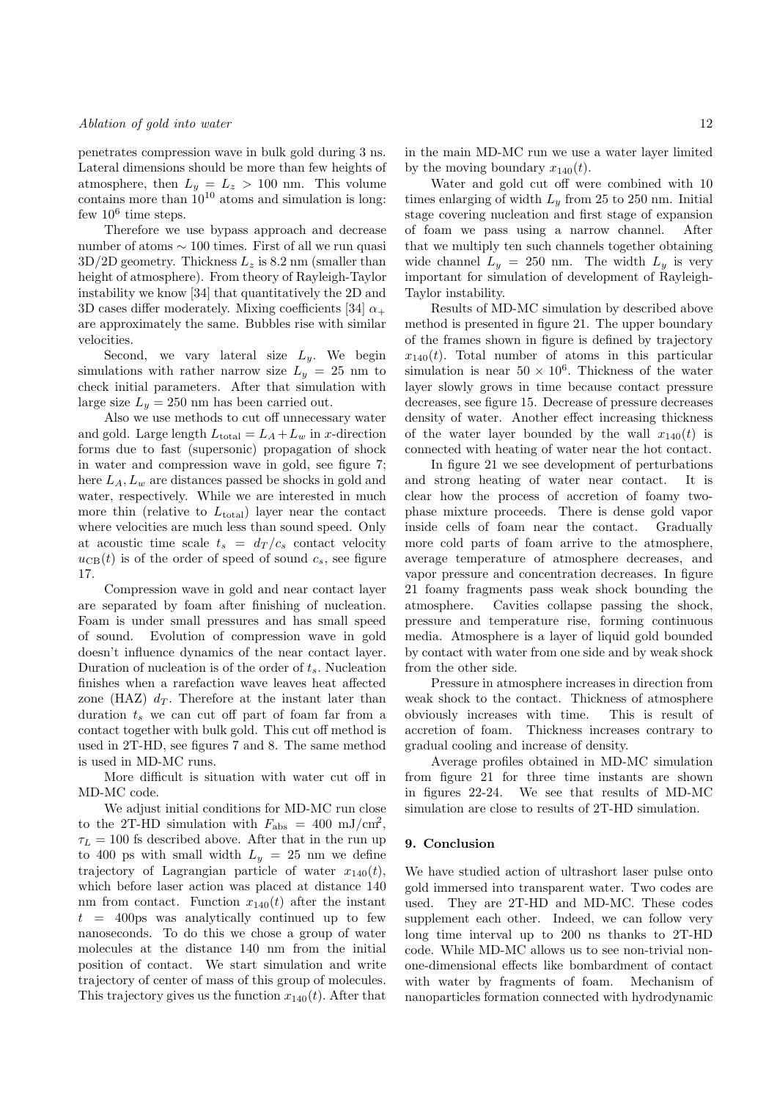penetrates compression wave in bulk gold during 3 ns. Lateral dimensions should be more than few heights of atmosphere, then  $L_y = L_z > 100$  nm. This volume contains more than  $10^{10}$  atoms and simulation is long: few  $10^6$  time steps.

Therefore we use bypass approach and decrease number of atoms ∼ 100 times. First of all we run quasi  $3D/2D$  geometry. Thickness  $L_z$  is 8.2 nm (smaller than height of atmosphere). From theory of Rayleigh-Taylor instability we know [34] that quantitatively the 2D and 3D cases differ moderately. Mixing coefficients [34]  $\alpha_{+}$ are approximately the same. Bubbles rise with similar velocities.

Second, we vary lateral size  $L_y$ . We begin simulations with rather narrow size  $L_y = 25$  nm to check initial parameters. After that simulation with large size  $L_y = 250$  nm has been carried out.

Also we use methods to cut off unnecessary water and gold. Large length  $L_{\text{total}} = L_A + L_w$  in x-direction forms due to fast (supersonic) propagation of shock in water and compression wave in gold, see figure 7; here  $L_A, L_w$  are distances passed be shocks in gold and water, respectively. While we are interested in much more thin (relative to  $L_{total}$ ) layer near the contact where velocities are much less than sound speed. Only at acoustic time scale  $t_s = d_T/c_s$  contact velocity  $u_{CB}(t)$  is of the order of speed of sound  $c_s$ , see figure 17.

Compression wave in gold and near contact layer are separated by foam after finishing of nucleation. Foam is under small pressures and has small speed of sound. Evolution of compression wave in gold doesn't influence dynamics of the near contact layer. Duration of nucleation is of the order of  $t_s$ . Nucleation finishes when a rarefaction wave leaves heat affected zone (HAZ)  $d_T$ . Therefore at the instant later than duration  $t_s$  we can cut off part of foam far from a contact together with bulk gold. This cut off method is used in 2T-HD, see figures 7 and 8. The same method is used in MD-MC runs.

More difficult is situation with water cut off in MD-MC code.

We adjust initial conditions for MD-MC run close to the 2T-HD simulation with  $F_{\text{abs}} = 400 \text{ mJ/cm}^2$ ,  $\tau_L = 100$  fs described above. After that in the run up to 400 ps with small width  $L_y = 25$  nm we define trajectory of Lagrangian particle of water  $x_{140}(t)$ , which before laser action was placed at distance 140 nm from contact. Function  $x_{140}(t)$  after the instant  $t = 400 \text{ps}$  was analytically continued up to few nanoseconds. To do this we chose a group of water molecules at the distance 140 nm from the initial position of contact. We start simulation and write trajectory of center of mass of this group of molecules. This trajectory gives us the function  $x_{140}(t)$ . After that in the main MD-MC run we use a water layer limited by the moving boundary  $x_{140}(t)$ .

Water and gold cut off were combined with 10 times enlarging of width  $L_y$  from 25 to 250 nm. Initial stage covering nucleation and first stage of expansion of foam we pass using a narrow channel. After that we multiply ten such channels together obtaining wide channel  $L_y = 250$  nm. The width  $L_y$  is very important for simulation of development of Rayleigh-Taylor instability.

Results of MD-MC simulation by described above method is presented in figure 21. The upper boundary of the frames shown in figure is defined by trajectory  $x_{140}(t)$ . Total number of atoms in this particular simulation is near  $50 \times 10^6$ . Thickness of the water layer slowly grows in time because contact pressure decreases, see figure 15. Decrease of pressure decreases density of water. Another effect increasing thickness of the water layer bounded by the wall  $x_{140}(t)$  is connected with heating of water near the hot contact.

In figure 21 we see development of perturbations and strong heating of water near contact. It is clear how the process of accretion of foamy twophase mixture proceeds. There is dense gold vapor inside cells of foam near the contact. Gradually more cold parts of foam arrive to the atmosphere, average temperature of atmosphere decreases, and vapor pressure and concentration decreases. In figure 21 foamy fragments pass weak shock bounding the atmosphere. Cavities collapse passing the shock, pressure and temperature rise, forming continuous media. Atmosphere is a layer of liquid gold bounded by contact with water from one side and by weak shock from the other side.

Pressure in atmosphere increases in direction from weak shock to the contact. Thickness of atmosphere obviously increases with time. This is result of accretion of foam. Thickness increases contrary to gradual cooling and increase of density.

Average profiles obtained in MD-MC simulation from figure 21 for three time instants are shown in figures 22-24. We see that results of MD-MC simulation are close to results of 2T-HD simulation.

#### 9. Conclusion

We have studied action of ultrashort laser pulse onto gold immersed into transparent water. Two codes are used. They are 2T-HD and MD-MC. These codes supplement each other. Indeed, we can follow very long time interval up to 200 ns thanks to 2T-HD code. While MD-MC allows us to see non-trivial nonone-dimensional effects like bombardment of contact with water by fragments of foam. Mechanism of nanoparticles formation connected with hydrodynamic